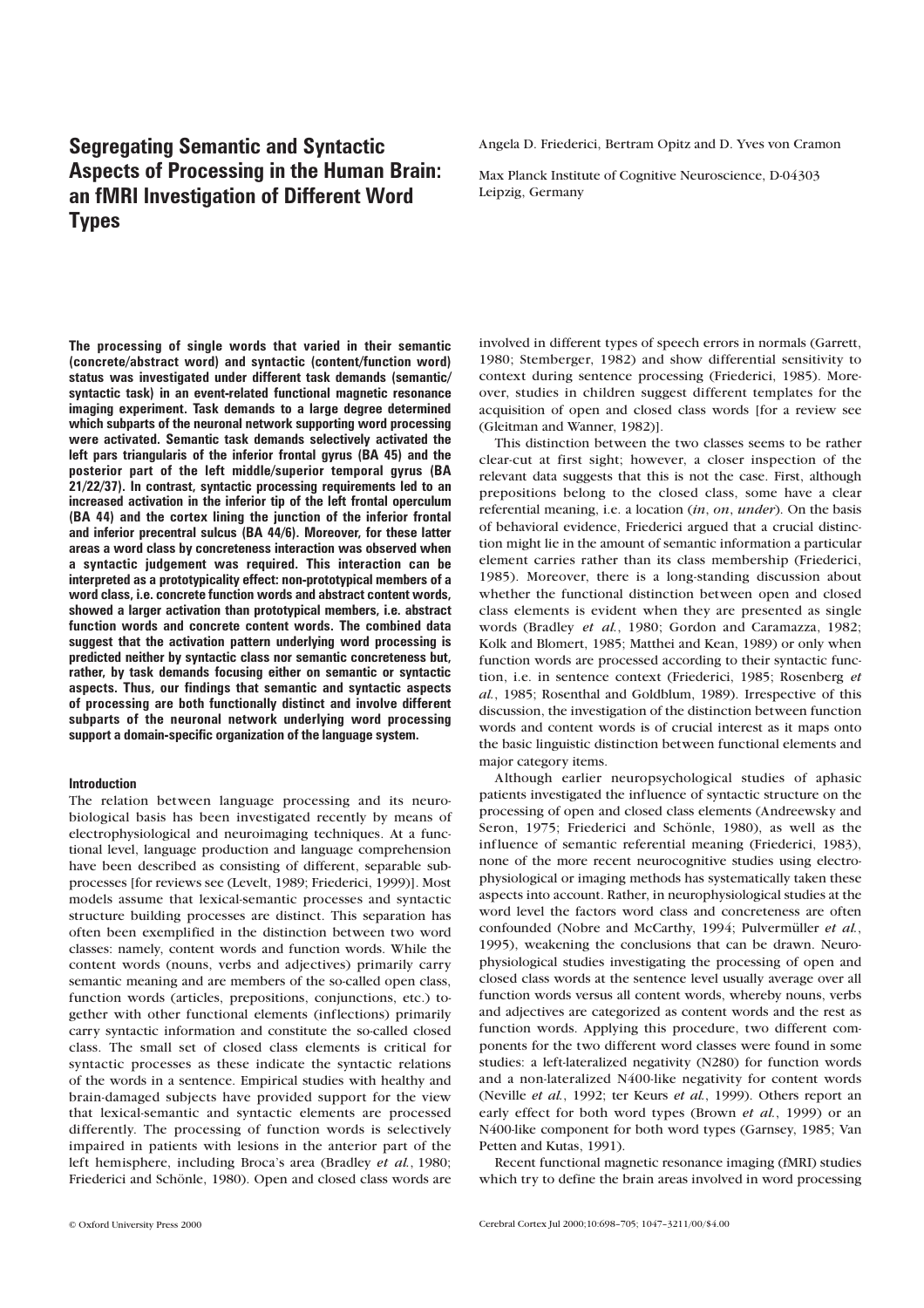# **Segregating Semantic and Syntactic Aspects of Processing in the Human Brain: an fMRI Investigation of Different Word Types**

**The processing of single words that varied in their semantic (concrete/abstract word) and syntactic (content/function word) status was investigated under different task demands (semantic/ syntactic task) in an event-related functional magnetic resonance imaging experiment. Task demands to a large degree determined which subparts of the neuronal network supporting word processing were activated. Semantic task demands selectively activated the left pars triangularis of the inferior frontal gyrus (BA 45) and the posterior part of the left middle/superior temporal gyrus (BA 21/22/37). In contrast, syntactic processing requirements led to an increased activation in the inferior tip of the left frontal operculum (BA 44) and the cortex lining the junction of the inferior frontal and inferior precentral sulcus (BA 44/6). Moreover, for these latter areas a word class by concreteness interaction was observed when a syntactic judgement was required. This interaction can be interpreted as a prototypicality effect: non-prototypical members of a word class, i.e. concrete function words and abstract content words, showed a larger activation than prototypical members, i.e. abstract function words and concrete content words. The combined data suggest that the activation pattern underlying word processing is predicted neither by syntactic class nor semantic concreteness but, rather, by task demands focusing either on semantic or syntactic aspects. Thus, our findings that semantic and syntactic aspects of processing are both functionally distinct and involve different subparts of the neuronal network underlying word processing support a domain-specific organization of the language system.**

# **Introduction**

The relation between language processing and its neurobiological basis has been investigated recently by means of electrophysiological and neuroimaging techniques. At a functional level, language production and language comprehension have been described as consisting of different, separable subprocesses [for reviews see (Levelt, 1989; Friederici, 1999)]. Most models assume that lexical-semantic processes and syntactic structure building processes are distinct. This separation has often been exemplified in the distinction between two word classes: namely, content words and function words. While the content words (nouns, verbs and adjectives) primarily carry semantic meaning and are members of the so-called open class, function words (articles, prepositions, conjunctions, etc.) together with other functional elements (inflections) primarily carry syntactic information and constitute the so-called closed class. The small set of closed class elements is critical for syntactic processes as these indicate the syntactic relations of the words in a sentence. Empirical studies with healthy and brain-damaged subjects have provided support for the view that lexical-semantic and syntactic elements are processed differently. The processing of function words is selectively impaired in patients with lesions in the anterior part of the left hemisphere, including Broca's area (Bradley *et al.*, 1980; Friederici and Schönle, 1980). Open and closed class words are

Angela D. Friederici, Bertram Opitz and D. Yves von Cramon

Max Planck Institute of Cognitive Neuroscience, D-04303 Leipzig, Germany

involved in different types of speech errors in normals (Garrett, 1980; Stemberger, 1982) and show differential sensitivity to context during sentence processing (Friederici, 1985). Moreover, studies in children suggest different templates for the acquisition of open and closed class words [for a review see (Gleitman and Wanner, 1982)].

This distinction between the two classes seems to be rather clear-cut at first sight; however, a closer inspection of the relevant data suggests that this is not the case. First, although prepositions belong to the closed class, some have a clear referential meaning, i.e. a location (*in*, *on*, *under*). On the basis of behavioral evidence, Friederici argued that a crucial distinction might lie in the amount of semantic information a particular element carries rather than its class membership (Friederici, 1985). Moreover, there is a long-standing discussion about whether the functional distinction between open and closed class elements is evident when they are presented as single words (Bradley *et al.*, 1980; Gordon and Caramazza, 1982; Kolk and Blomert, 1985; Matthei and Kean, 1989) or only when function words are processed according to their syntactic function, i.e. in sentence context (Friederici, 1985; Rosenberg *et al.*, 1985; Rosenthal and Goldblum, 1989). Irrespective of this discussion, the investigation of the distinction between function words and content words is of crucial interest as it maps onto the basic linguistic distinction between functional elements and major category items.

Although earlier neuropsychological studies of aphasic patients investigated the influence of syntactic structure on the processing of open and closed class elements (Andreewsky and Seron, 1975; Friederici and Schönle, 1980), as well as the influence of semantic referential meaning (Friederici, 1983), none of the more recent neurocognitive studies using electrophysiological or imaging methods has systematically taken these aspects into account. Rather, in neurophysiological studies at the word level the factors word class and concreteness are often confounded (Nobre and McCarthy, 1994; Pulvermüller *et al.*, 1995), weakening the conclusions that can be drawn. Neurophysiological studies investigating the processing of open and closed class words at the sentence level usually average over all function words versus all content words, whereby nouns, verbs and adjectives are categorized as content words and the rest as function words. Applying this procedure, two different components for the two different word classes were found in some studies: a left-lateralized negativity (N280) for function words and a non-lateralized N400-like negativity for content words (Neville *et al.*, 1992; ter Keurs *et al.*, 1999). Others report an early effect for both word types (Brown *et al.*, 1999) or an N400-like component for both word types (Garnsey, 1985; Van Petten and Kutas, 1991).

Recent functional magnetic resonance imaging (fMRI) studies which try to define the brain areas involved in word processing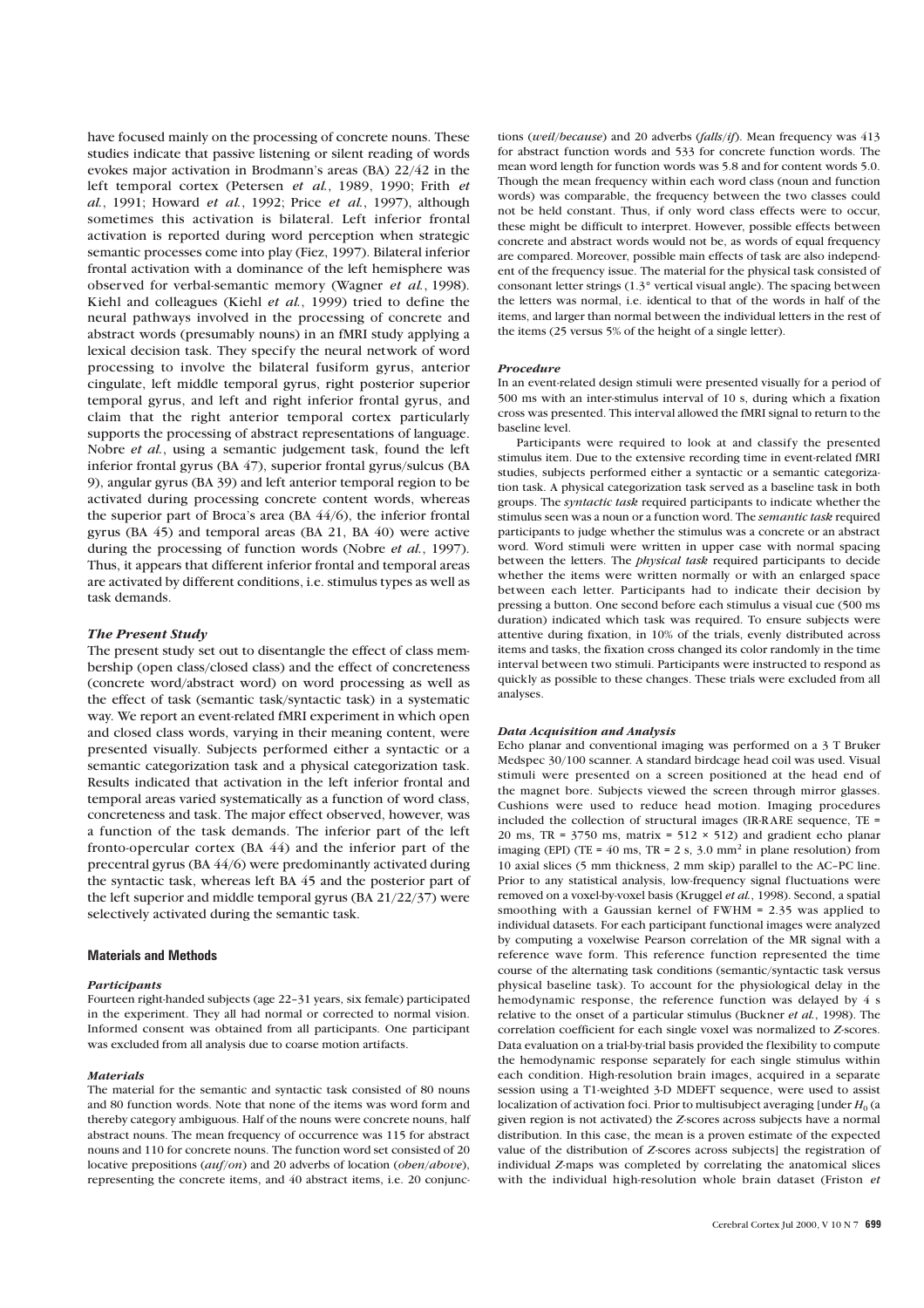have focused mainly on the processing of concrete nouns. These studies indicate that passive listening or silent reading of words evokes major activation in Brodmann's areas (BA) 22/42 in the left temporal cortex (Petersen *et al.*, 1989, 1990; Frith *et al.*, 1991; Howard *et al.*, 1992; Price *et al.*, 1997), although sometimes this activation is bilateral. Left inferior frontal activation is reported during word perception when strategic semantic processes come into play (Fiez, 1997). Bilateral inferior frontal activation with a dominance of the left hemisphere was observed for verbal-semantic memory (Wagner *et al.*, 1998). Kiehl and colleagues (Kiehl *et al.*, 1999) tried to define the neural pathways involved in the processing of concrete and abstract words (presumably nouns) in an fMRI study applying a lexical decision task. They specify the neural network of word processing to involve the bilateral fusiform gyrus, anterior cingulate, left middle temporal gyrus, right posterior superior temporal gyrus, and left and right inferior frontal gyrus, and claim that the right anterior temporal cortex particularly supports the processing of abstract representations of language. Nobre *et al.*, using a semantic judgement task, found the left inferior frontal gyrus (BA 47), superior frontal gyrus/sulcus (BA 9), angular gyrus (BA 39) and left anterior temporal region to be activated during processing concrete content words, whereas the superior part of Broca's area (BA 44/6), the inferior frontal gyrus (BA 45) and temporal areas (BA 21, BA 40) were active during the processing of function words (Nobre *et al.*, 1997). Thus, it appears that different inferior frontal and temporal areas are activated by different conditions, i.e. stimulus types as well as task demands.

# *The Present Study*

The present study set out to disentangle the effect of class membership (open class/closed class) and the effect of concreteness (concrete word/abstract word) on word processing as well as the effect of task (semantic task/syntactic task) in a systematic way. We report an event-related fMRI experiment in which open and closed class words, varying in their meaning content, were presented visually. Subjects performed either a syntactic or a semantic categorization task and a physical categorization task. Results indicated that activation in the left inferior frontal and temporal areas varied systematically as a function of word class, concreteness and task. The major effect observed, however, was a function of the task demands. The inferior part of the left fronto-opercular cortex (BA 44) and the inferior part of the precentral gyrus (BA 44/6) were predominantly activated during the syntactic task, whereas left BA 45 and the posterior part of the left superior and middle temporal gyrus (BA 21/22/37) were selectively activated during the semantic task.

### **Materials and Methods**

#### *Participants*

Fourteen right-handed subjects (age 22–31 years, six female) participated in the experiment. They all had normal or corrected to normal vision. Informed consent was obtained from all participants. One participant was excluded from all analysis due to coarse motion artifacts.

# *Materials*

The material for the semantic and syntactic task consisted of 80 nouns and 80 function words. Note that none of the items was word form and thereby category ambiguous. Half of the nouns were concrete nouns, half abstract nouns. The mean frequency of occurrence was 115 for abstract nouns and 110 for concrete nouns. The function word set consisted of 20 locative prepositions (*auf*/*on*) and 20 adverbs of location (*oben*/*above*), representing the concrete items, and 40 abstract items, i.e. 20 conjunctions (*weil*/*because*) and 20 adverbs (*falls*/*if*). Mean frequency was 413 for abstract function words and 533 for concrete function words. The mean word length for function words was 5.8 and for content words 5.0. Though the mean frequency within each word class (noun and function words) was comparable, the frequency between the two classes could not be held constant. Thus, if only word class effects were to occur, these might be difficult to interpret. However, possible effects between concrete and abstract words would not be, as words of equal frequency are compared. Moreover, possible main effects of task are also independent of the frequency issue. The material for the physical task consisted of consonant letter strings (1.3° vertical visual angle). The spacing between the letters was normal, i.e. identical to that of the words in half of the items, and larger than normal between the individual letters in the rest of the items (25 versus 5% of the height of a single letter).

### *Procedure*

In an event-related design stimuli were presented visually for a period of 500 ms with an inter-stimulus interval of 10 s, during which a fixation cross was presented. This interval allowed the fMRI signal to return to the baseline level.

Participants were required to look at and classify the presented stimulus item. Due to the extensive recording time in event-related fMRI studies, subjects performed either a syntactic or a semantic categorization task. A physical categorization task served as a baseline task in both groups. The *syntactic task* required participants to indicate whether the stimulus seen was a noun or a function word. The *semantic task* required participants to judge whether the stimulus was a concrete or an abstract word. Word stimuli were written in upper case with normal spacing between the letters. The *physical task* required participants to decide whether the items were written normally or with an enlarged space between each letter. Participants had to indicate their decision by pressing a button. One second before each stimulus a visual cue (500 ms duration) indicated which task was required. To ensure subjects were attentive during fixation, in 10% of the trials, evenly distributed across items and tasks, the fixation cross changed its color randomly in the time interval between two stimuli. Participants were instructed to respond as quickly as possible to these changes. These trials were excluded from all analyses.

#### *Data Acquisition and Analysis*

Echo planar and conventional imaging was performed on a 3 T Bruker Medspec 30/100 scanner. A standard birdcage head coil was used. Visual stimuli were presented on a screen positioned at the head end of the magnet bore. Subjects viewed the screen through mirror glasses. Cushions were used to reduce head motion. Imaging procedures included the collection of structural images (IR-RARE sequence, TE = 20 ms, TR =  $3750$  ms, matrix =  $512 \times 512$ ) and gradient echo planar imaging (EPI) (TE =  $40 \text{ ms}$ , TR =  $2 \text{ s}$ ,  $3.0 \text{ mm}^2$  in plane resolution) from 10 axial slices (5 mm thickness, 2 mm skip) parallel to the AC–PC line. Prior to any statistical analysis, low-frequency signal fluctuations were removed on a voxel-by-voxel basis (Kruggel *et al.*, 1998). Second, a spatial smoothing with a Gaussian kernel of FWHM = 2.35 was applied to individual datasets. For each participant functional images were analyzed by computing a voxelwise Pearson correlation of the MR signal with a reference wave form. This reference function represented the time course of the alternating task conditions (semantic/syntactic task versus physical baseline task). To account for the physiological delay in the hemodynamic response, the reference function was delayed by 4 s relative to the onset of a particular stimulus (Buckner *et al.*, 1998). The correlation coefficient for each single voxel was normalized to *Z-*scores. Data evaluation on a trial-by-trial basis provided the flexibility to compute the hemodynamic response separately for each single stimulus within each condition. High-resolution brain images, acquired in a separate session using a T1-weighted 3-D MDEFT sequence, were used to assist localization of activation foci. Prior to multisubject averaging [under *H*<sub>0</sub> (a given region is not activated) the *Z*-scores across subjects have a normal distribution. In this case, the mean is a proven estimate of the expected value of the distribution of *Z*-scores across subjects] the registration of individual *Z-*maps was completed by correlating the anatomical slices with the individual high-resolution whole brain dataset (Friston *et*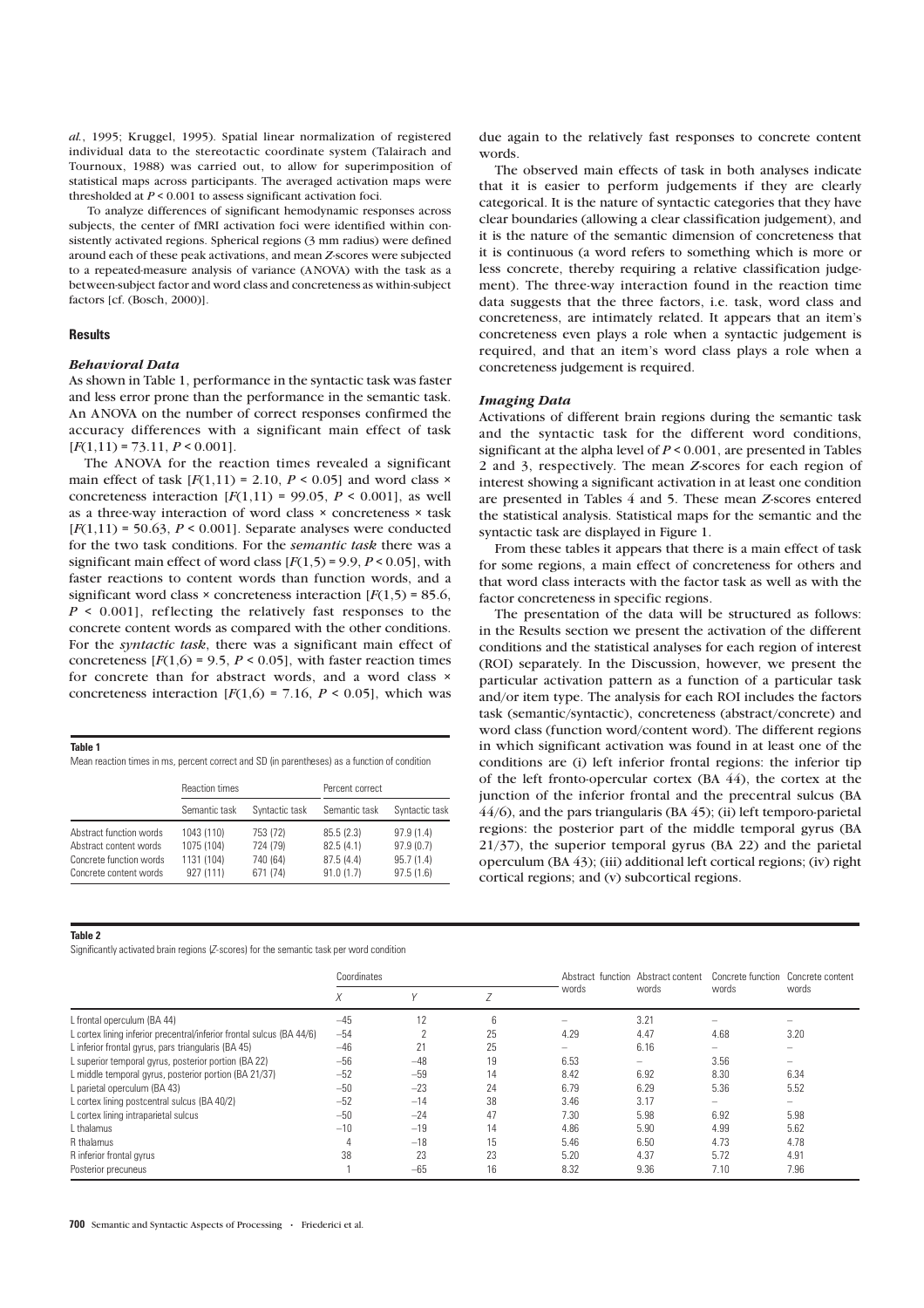*al.*, 1995; Kruggel, 1995). Spatial linear normalization of registered individual data to the stereotactic coordinate system (Talairach and Tournoux, 1988) was carried out, to allow for superimposition of statistical maps across participants. The averaged activation maps were thresholded at *P* < 0.001 to assess significant activation foci.

To analyze differences of significant hemodynamic responses across subjects, the center of fMRI activation foci were identified within consistently activated regions. Spherical regions (3 mm radius) were defined around each of these peak activations, and mean *Z-*scores were subjected to a repeated-measure analysis of variance (ANOVA) with the task as a between-subject factor and word class and concreteness as within-subject factors [cf. (Bosch, 2000)].

# **Results**

# *Behavioral Data*

As shown in Table 1, performance in the syntactic task was faster and less error prone than the performance in the semantic task. An ANOVA on the number of correct responses confirmed the accuracy differences with a significant main effect of task [*F*(1,11) = 73.11, *P* < 0.001].

The ANOVA for the reaction times revealed a significant main effect of task  $[F(1,11) = 2.10, P \le 0.05]$  and word class  $\times$ concreteness interaction  $[F(1,11) = 99.05, P \le 0.001]$ , as well as a three-way interaction of word class × concreteness × task [*F*(1,11) = 50.63, *P* < 0.001]. Separate analyses were conducted for the two task conditions. For the *semantic task* there was a significant main effect of word class  $[F(1,5) = 9.9, P < 0.05]$ , with faster reactions to content words than function words, and a significant word class  $\times$  concreteness interaction  $[F(1,5) = 85.6]$ , *P* < 0.001], reflecting the relatively fast responses to the concrete content words as compared with the other conditions. For the *syntactic task*, there was a significant main effect of concreteness  $[F(1,6) = 9.5, P \le 0.05]$ , with faster reaction times for concrete than for abstract words, and a word class × concreteness interaction  $[F(1,6) = 7.16, P \le 0.05]$ , which was

#### **Table 1**

Mean reaction times in ms, percent correct and SD (in parentheses) as a function of condition

|                                                                                                        | Reaction times                                      |                                              | Percent correct                                  |                                                  |  |  |
|--------------------------------------------------------------------------------------------------------|-----------------------------------------------------|----------------------------------------------|--------------------------------------------------|--------------------------------------------------|--|--|
|                                                                                                        | Semantic task                                       | Syntactic task                               | Semantic task                                    | Syntactic task                                   |  |  |
| Abstract function words<br>Abstract content words<br>Concrete function words<br>Concrete content words | 1043 (110)<br>1075 (104)<br>1131 (104)<br>927 (111) | 753 (72)<br>724 (79)<br>740 (64)<br>671 (74) | 85.5(2.3)<br>82.5(4.1)<br>87.5(4.4)<br>91.0(1.7) | 97.9(1.4)<br>97.9(0.7)<br>95.7(1.4)<br>97.5(1.6) |  |  |

#### **Table 2**

Significantly activated brain regions (*Z-*scores) for the semantic task per word condition

due again to the relatively fast responses to concrete content words.

The observed main effects of task in both analyses indicate that it is easier to perform judgements if they are clearly categorical. It is the nature of syntactic categories that they have clear boundaries (allowing a clear classification judgement), and it is the nature of the semantic dimension of concreteness that it is continuous (a word refers to something which is more or less concrete, thereby requiring a relative classification judgement). The three-way interaction found in the reaction time data suggests that the three factors, i.e. task, word class and concreteness, are intimately related. It appears that an item's concreteness even plays a role when a syntactic judgement is required, and that an item's word class plays a role when a concreteness judgement is required.

#### *Imaging Data*

Activations of different brain regions during the semantic task and the syntactic task for the different word conditions, significant at the alpha level of *P* < 0.001, are presented in Tables 2 and 3, respectively. The mean *Z-*scores for each region of interest showing a significant activation in at least one condition are presented in Tables 4 and 5. These mean *Z-*scores entered the statistical analysis. Statistical maps for the semantic and the syntactic task are displayed in Figure 1.

From these tables it appears that there is a main effect of task for some regions, a main effect of concreteness for others and that word class interacts with the factor task as well as with the factor concreteness in specific regions.

The presentation of the data will be structured as follows: in the Results section we present the activation of the different conditions and the statistical analyses for each region of interest (ROI) separately. In the Discussion, however, we present the particular activation pattern as a function of a particular task and/or item type. The analysis for each ROI includes the factors task (semantic/syntactic), concreteness (abstract/concrete) and word class (function word/content word). The different regions in which significant activation was found in at least one of the conditions are (i) left inferior frontal regions: the inferior tip of the left fronto-opercular cortex (BA 44), the cortex at the junction of the inferior frontal and the precentral sulcus (BA 44/6), and the pars triangularis (BA 45); (ii) left temporo-parietal regions: the posterior part of the middle temporal gyrus (BA 21/37), the superior temporal gyrus (BA 22) and the parietal operculum (BA 43); (iii) additional left cortical regions; (iv) right cortical regions; and (v) subcortical regions.

|                                                                       | Coordinates |       |    |                          | Abstract function Abstract content | Concrete function        | Concrete content         |
|-----------------------------------------------------------------------|-------------|-------|----|--------------------------|------------------------------------|--------------------------|--------------------------|
|                                                                       |             |       |    | words                    | words                              | words                    | words                    |
| L frontal operculum (BA 44)                                           | $-45$       | 12    | 6  | -                        | 3.21                               |                          | -                        |
| L cortex lining inferior precentral/inferior frontal sulcus (BA 44/6) | $-54$       |       | 25 | 4.29                     | 4.47                               | 4.68                     | 3.20                     |
| L inferior frontal gyrus, pars triangularis (BA 45)                   | $-46$       | 21    | 25 | $\overline{\phantom{0}}$ | 6.16                               |                          | -                        |
| L superior temporal gyrus, posterior portion (BA 22)                  | $-56$       | $-48$ | 19 | 6.53                     | -                                  | 3.56                     | $\overline{\phantom{0}}$ |
| L middle temporal gyrus, posterior portion (BA 21/37)                 | $-52$       | $-59$ | 14 | 8.42                     | 6.92                               | 8.30                     | 6.34                     |
| L parietal operculum (BA 43)                                          | $-50$       | $-23$ | 24 | 6.79                     | 6.29                               | 5.36                     | 5.52                     |
| L cortex lining postcentral sulcus (BA 40/2)                          | $-52$       | $-14$ | 38 | 3.46                     | 3.17                               | $\overline{\phantom{0}}$ | -                        |
| L cortex lining intraparietal sulcus                                  | $-50$       | $-24$ | 47 | 7.30                     | 5.98                               | 6.92                     | 5.98                     |
| L thalamus                                                            | $-10$       | $-19$ | 14 | 4.86                     | 5.90                               | 4.99                     | 5.62                     |
| R thalamus                                                            |             | $-18$ | 15 | 5.46                     | 6.50                               | 4.73                     | 4.78                     |
| R inferior frontal gyrus                                              | 38          | 23    | 23 | 5.20                     | 4.37                               | 5.72                     | 4.91                     |
| Posterior precuneus                                                   |             | $-65$ | 16 | 8.32                     | 9.36                               | 7.10                     | 7.96                     |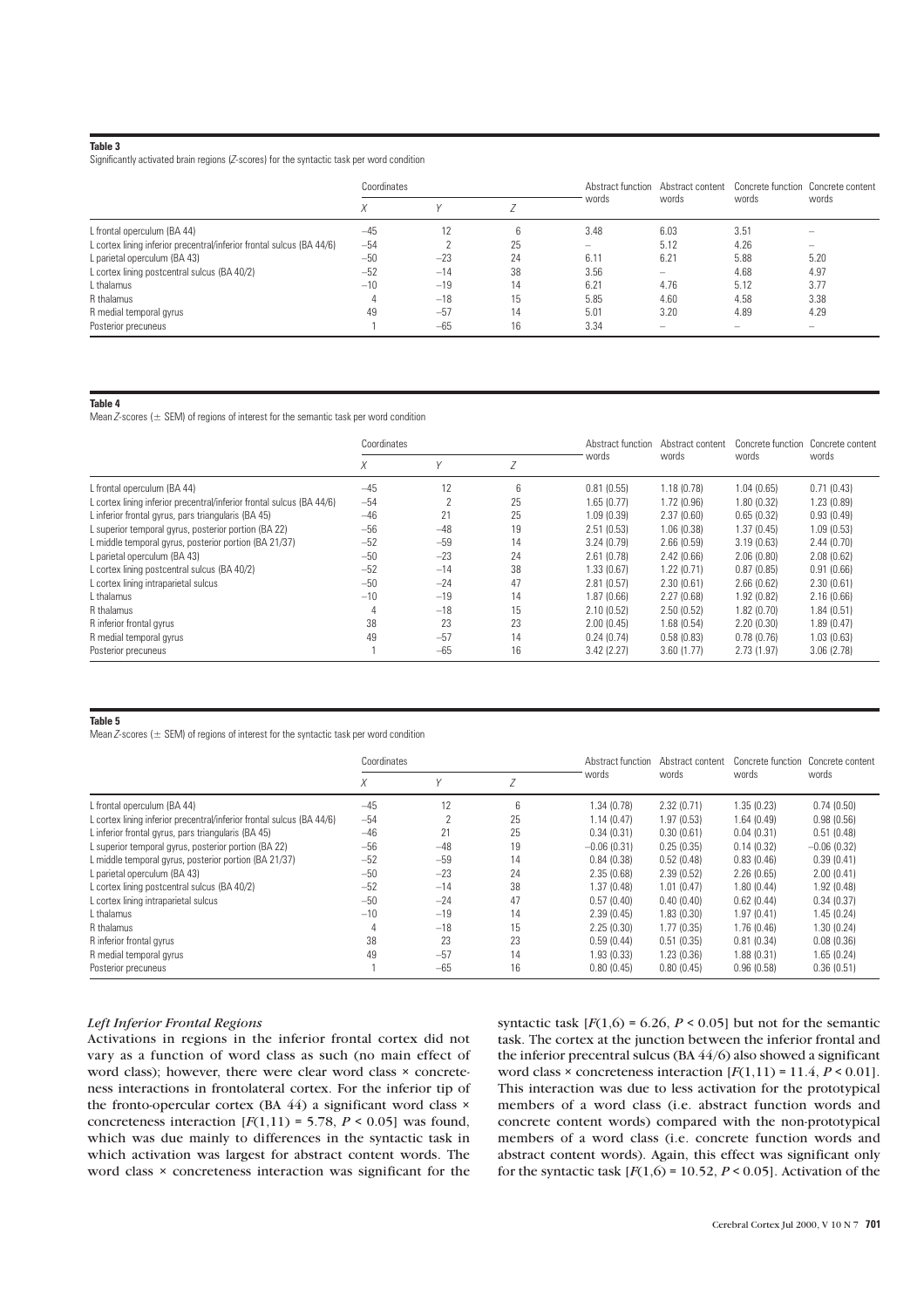# **Table 3**

Significantly activated brain regions (*Z-*scores) for the syntactic task per word condition

|                                                                       | Coordinates |       |    |                          |                          | Abstract function Abstract content Concrete function Concrete content |                          |
|-----------------------------------------------------------------------|-------------|-------|----|--------------------------|--------------------------|-----------------------------------------------------------------------|--------------------------|
|                                                                       |             |       |    | words                    | words                    | words                                                                 | words                    |
| L frontal operculum (BA 44)                                           | $-45$       | 12    |    | 3.48                     | 6.03                     | 3.51                                                                  |                          |
| L cortex lining inferior precentral/inferior frontal sulcus (BA 44/6) | $-54$       |       | 25 | $\overline{\phantom{a}}$ | 5.12                     | 4.26                                                                  |                          |
| L parietal operculum (BA 43)                                          | $-50$       | $-23$ | 24 | 6.11                     | 6.21                     | 5.88                                                                  | 5.20                     |
| L cortex lining postcentral sulcus (BA 40/2)                          | $-52$       | $-14$ | 38 | 3.56                     | $\overline{\phantom{0}}$ | 4.68                                                                  | 4.97                     |
| thalamus                                                              | $-10$       | $-19$ | 14 | 6.21                     | 4.76                     | 5.12                                                                  | 3.77                     |
| R thalamus                                                            |             | $-18$ | 15 | 5.85                     | 4.60                     | 4.58                                                                  | 3.38                     |
| R medial temporal gyrus                                               | 49          | $-57$ | 14 | 5.01                     | 3.20                     | 4.89                                                                  | 4.29                     |
| Posterior precuneus                                                   |             | $-65$ | 16 | 3.34                     | $\overline{\phantom{a}}$ | -                                                                     | $\overline{\phantom{a}}$ |

# **Table 4**

Mean *Z*-scores ( $\pm$  SEM) of regions of interest for the semantic task per word condition

|                                                                       | Coordinates |       |    | Abstract function | Abstract content | Concrete function | Concrete content |
|-----------------------------------------------------------------------|-------------|-------|----|-------------------|------------------|-------------------|------------------|
|                                                                       |             |       |    | words             | words            | words             | words            |
| frontal operculum (BA 44)                                             | $-45$       | 12    | 6  | 0.81(0.55)        | 1.18(0.78)       | 1.04(0.65)        | 0.71(0.43)       |
| . cortex lining inferior precentral/inferior frontal sulcus (BA 44/6) | $-54$       | c     | 25 | 1.65(0.77)        | 1.72(0.96)       | 1.80 (0.32)       | 1.23(0.89)       |
| inferior frontal gyrus, pars triangularis (BA 45)                     | $-46$       | 21    | 25 | 1.09(0.39)        | 2.37(0.60)       | 0.65(0.32)        | 0.93(0.49)       |
| superior temporal gyrus, posterior portion (BA 22)                    | $-56$       | $-48$ | 19 | 2.51(0.53)        | 1.06(0.38)       | 1.37(0.45)        | 1.09 (0.53)      |
| middle temporal gyrus, posterior portion (BA 21/37)                   | $-52$       | $-59$ | 14 | 3.24(0.79)        | 2.66(0.59)       | 3.19(0.63)        | 2.44(0.70)       |
| parietal operculum (BA 43)                                            | $-50$       | $-23$ | 24 | 2.61(0.78)        | 2.42(0.66)       | 2.06(0.80)        | 2.08(0.62)       |
| . cortex lining postcentral sulcus (BA 40/2)                          | $-52$       | $-14$ | 38 | 1.33(0.67)        | 1.22 (0.71)      | 0.87(0.85)        | 0.91(0.66)       |
| cortex lining intraparietal sulcus                                    | $-50$       | $-24$ | 47 | 2.81(0.57)        | 2.30(0.61)       | 2.66(0.62)        | 2.30(0.61)       |
| thalamus                                                              | $-10$       | $-19$ | 14 | 1.87(0.66)        | 2.27(0.68)       | 1.92 (0.82)       | 2.16(0.66)       |
| R thalamus                                                            |             | $-18$ | 15 | 2.10(0.52)        | 2.50(0.52)       | 1.82(0.70)        | 1.84 (0.51)      |
| R inferior frontal gyrus                                              | 38          | 23    | 23 | 2.00(0.45)        | 1.68 (0.54)      | 2.20(0.30)        | 1.89 (0.47)      |
| R medial temporal gyrus                                               | 49          | $-57$ | 14 | 0.24(0.74)        | 0.58(0.83)       | 0.78(0.76)        | 1.03 (0.63)      |
| Posterior precuneus                                                   |             | $-65$ | 16 | 3.42(2.27)        | 3.60(1.77)       | 2.73(1.97)        | 3.06(2.78)       |

### **Table 5**

Mean *Z-*scores (± SEM) of regions of interest for the syntactic task per word condition

|                                                                       | Coordinates |       |    | Abstract function | Abstract content | Concrete function | Concrete content |
|-----------------------------------------------------------------------|-------------|-------|----|-------------------|------------------|-------------------|------------------|
|                                                                       |             |       |    | words             | words            | words             | words            |
| L frontal operculum (BA 44)                                           | $-45$       | 12    | 6  | 1.34 (0.78)       | 2.32(0.71)       | 1.35(0.23)        | 0.74(0.50)       |
| L cortex lining inferior precentral/inferior frontal sulcus (BA 44/6) | $-54$       | c     | 25 | 1.14(0.47)        | 1.97(0.53)       | 1.64(0.49)        | 0.98(0.56)       |
| L inferior frontal gyrus, pars triangularis (BA 45)                   | $-46$       | 21    | 25 | 0.34(0.31)        | 0.30(0.61)       | 0.04(0.31)        | 0.51(0.48)       |
| L superior temporal gyrus, posterior portion (BA 22)                  | $-56$       | $-48$ | 19 | $-0.06(0.31)$     | 0.25(0.35)       | 0.14(0.32)        | $-0.06(0.32)$    |
| L middle temporal gyrus, posterior portion (BA 21/37)                 | $-52$       | $-59$ | 14 | 0.84(0.38)        | 0.52(0.48)       | 0.83(0.46)        | 0.39(0.41)       |
| L parietal operculum (BA 43)                                          | $-50$       | $-23$ | 24 | 2.35(0.68)        | 2.39(0.52)       | 2.26(0.65)        | 2.00(0.41)       |
| L cortex lining postcentral sulcus (BA 40/2)                          | $-52$       | $-14$ | 38 | 1.37 (0.48)       | 1.01(0.47)       | 1.80(0.44)        | 1.92(0.48)       |
| L cortex lining intraparietal sulcus                                  | $-50$       | $-24$ | 47 | 0.57(0.40)        | 0.40(0.40)       | 0.62(0.44)        | 0.34(0.37)       |
| L thalamus                                                            | $-10$       | $-19$ | 14 | 2.39(0.45)        | 1.83(0.30)       | 1.97(0.41)        | 1.45 (0.24)      |
| R thalamus                                                            |             | $-18$ | 15 | 2.25(0.30)        | 1.77(0.35)       | 1.76(0.46)        | 1.30 (0.24)      |
| R inferior frontal gyrus                                              | 38          | 23    | 23 | 0.59(0.44)        | 0.51(0.35)       | 0.81(0.34)        | 0.08(0.36)       |
| R medial temporal gyrus                                               | 49          | $-57$ | 14 | 1.93 (0.33)       | 1.23(0.36)       | 1.88(0.31)        | 1.65(0.24)       |
| Posterior precuneus                                                   |             | $-65$ | 16 | 0.80(0.45)        | 0.80(0.45)       | 0.96(0.58)        | 0.36(0.51)       |

# *Left Inferior Frontal Regions*

Activations in regions in the inferior frontal cortex did not vary as a function of word class as such (no main effect of word class); however, there were clear word class  $\times$  concreteness interactions in frontolateral cortex. For the inferior tip of the fronto-opercular cortex (BA 44) a significant word class × concreteness interaction  $[F(1,11) = 5.78, P < 0.05]$  was found, which was due mainly to differences in the syntactic task in which activation was largest for abstract content words. The word class × concreteness interaction was significant for the

syntactic task  $[F(1,6) = 6.26, P < 0.05]$  but not for the semantic task. The cortex at the junction between the inferior frontal and the inferior precentral sulcus (BA 44/6) also showed a significant word class  $\times$  concreteness interaction  $[F(1,11) = 11.4, P \le 0.01]$ . This interaction was due to less activation for the prototypical members of a word class (i.e. abstract function words and concrete content words) compared with the non-prototypical members of a word class (i.e. concrete function words and abstract content words). Again, this effect was significant only for the syntactic task [*F*(1,6) = 10.52, *P* < 0.05]. Activation of the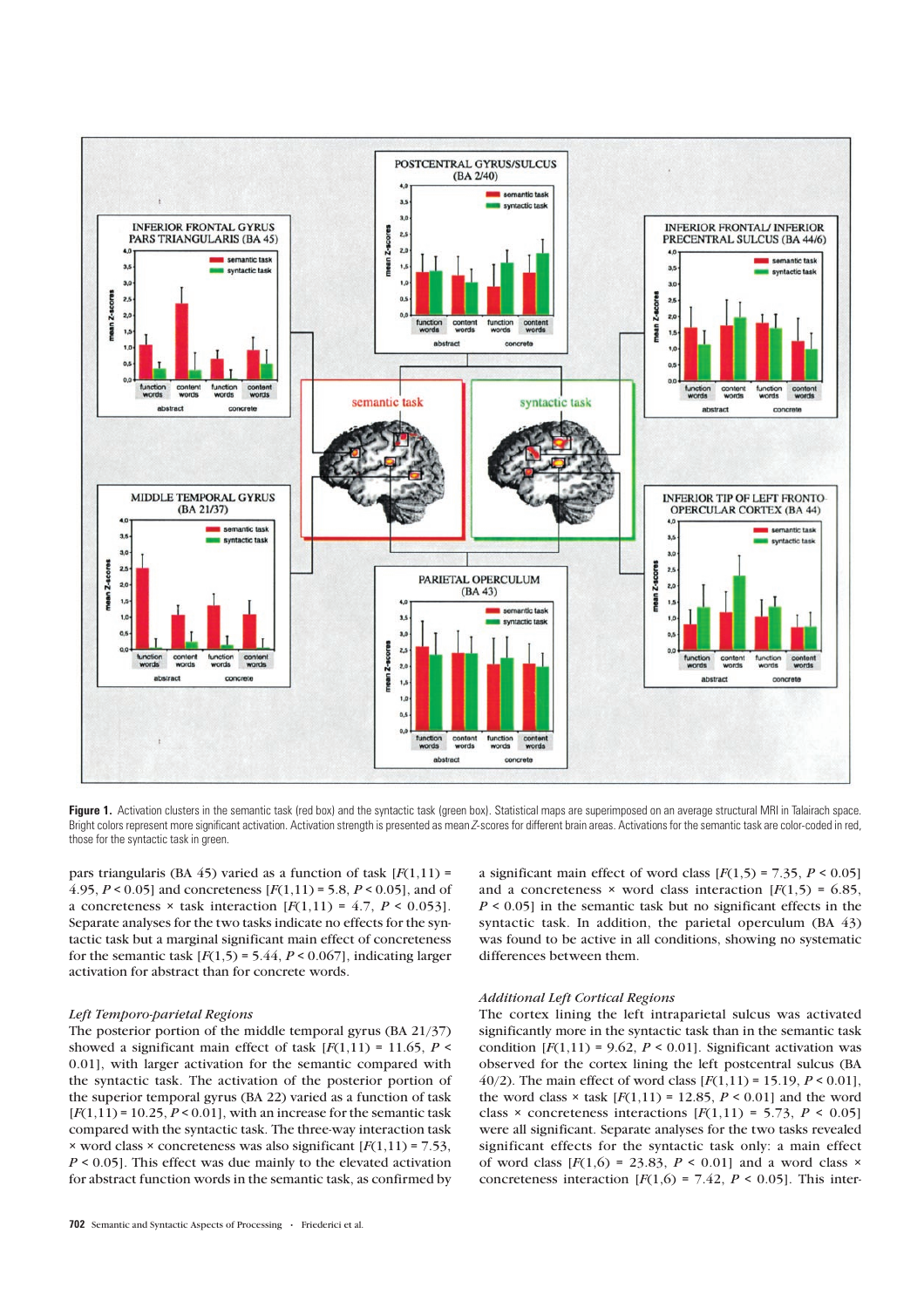

**Figure 1.** Activation clusters in the semantic task (red box) and the syntactic task (green box). Statistical maps are superimposed on an average structural MRI in Talairach space. Bright colors represent more significant activation. Activation strength is presented as mean Z-scores for different brain areas. Activations for the semantic task are color-coded in red, those for the syntactic task in green.

pars triangularis (BA 45) varied as a function of task  $[F(1,11) =$ 4.95, *P* < 0.05] and concreteness [*F*(1,11) = 5.8, *P* < 0.05], and of a concreteness  $\times$  task interaction  $[F(1,11) = 4.7, P < 0.053]$ . Separate analyses for the two tasks indicate no effects for the syntactic task but a marginal significant main effect of concreteness for the semantic task  $[F(1,5) = 5.44, P < 0.067]$ , indicating larger activation for abstract than for concrete words.

### *Left Temporo-parietal Regions*

The posterior portion of the middle temporal gyrus (BA 21/37) showed a significant main effect of task  $[F(1,11) = 11.65, P \le$ 0.01], with larger activation for the semantic compared with the syntactic task. The activation of the posterior portion of the superior temporal gyrus (BA 22) varied as a function of task  $[F(1,11) = 10.25, P < 0.01]$ , with an increase for the semantic task compared with the syntactic task. The three-way interaction task × word class × concreteness was also significant [*F*(1,11) = 7.53, *P* < 0.05]. This effect was due mainly to the elevated activation for abstract function words in the semantic task, as confirmed by

a significant main effect of word class  $[F(1,5) = 7.35, P \le 0.05]$ and a concreteness  $\times$  word class interaction  $[F(1,5) = 6.85]$ , *P* < 0.05] in the semantic task but no significant effects in the syntactic task. In addition, the parietal operculum (BA 43) was found to be active in all conditions, showing no systematic differences between them.

# *Additional Left Cortical Regions*

The cortex lining the left intraparietal sulcus was activated significantly more in the syntactic task than in the semantic task condition  $[F(1,11) = 9.62, P \le 0.01]$ . Significant activation was observed for the cortex lining the left postcentral sulcus (BA 40/2). The main effect of word class [*F*(1,11) = 15.19, *P* < 0.01], the word class  $\times$  task  $[F(1,11) = 12.85, P \lt 0.01]$  and the word class  $\times$  concreteness interactions  $[F(1,11) = 5.73, P < 0.05]$ were all significant. Separate analyses for the two tasks revealed significant effects for the syntactic task only: a main effect of word class  $[F(1,6) = 23.83, P \le 0.01]$  and a word class  $\times$ concreteness interaction  $[F(1,6) = 7.42, P < 0.05]$ . This inter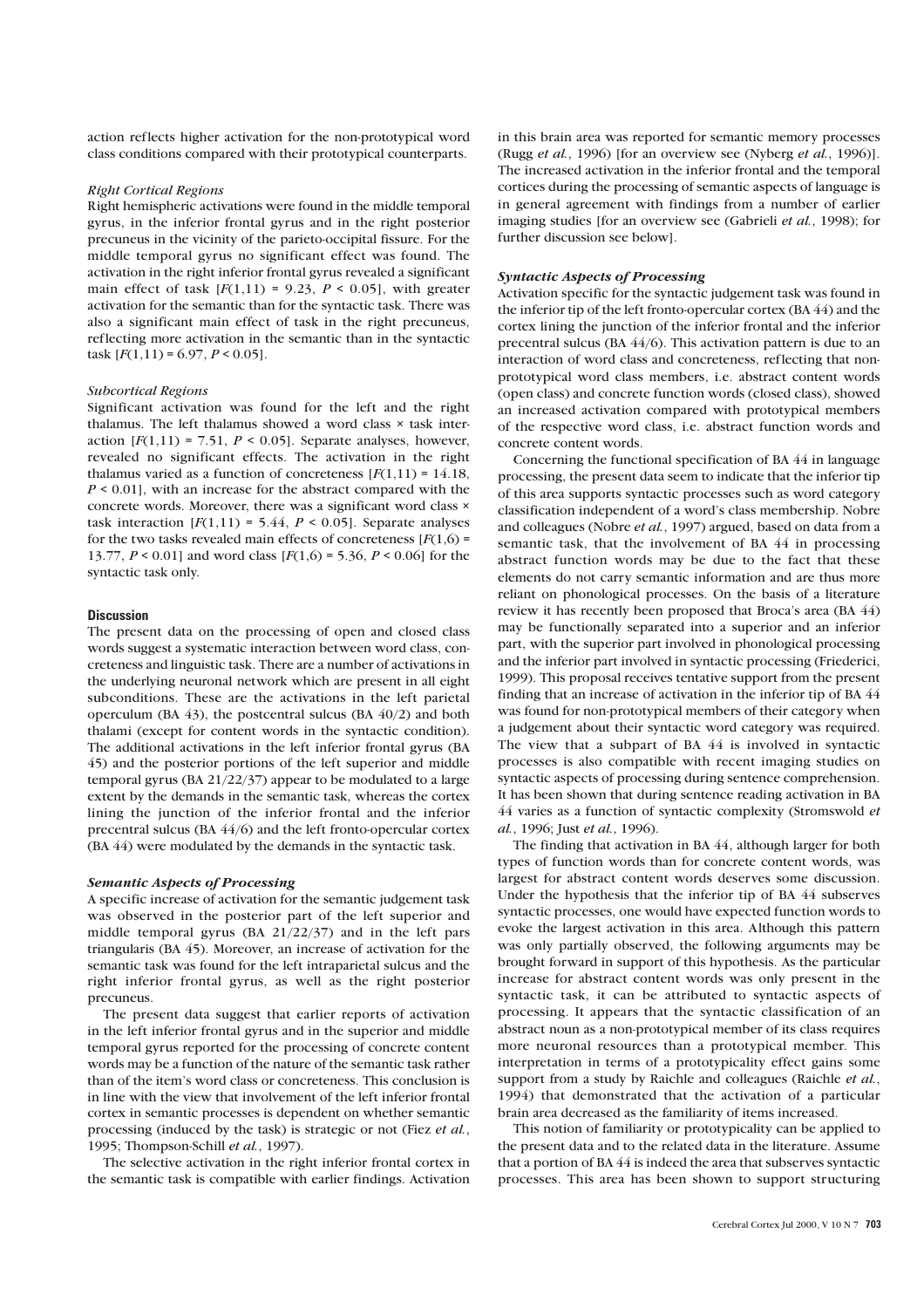action reflects higher activation for the non-prototypical word class conditions compared with their prototypical counterparts.

# *Right Cortical Regions*

Right hemispheric activations were found in the middle temporal gyrus, in the inferior frontal gyrus and in the right posterior precuneus in the vicinity of the parieto-occipital fissure. For the middle temporal gyrus no significant effect was found. The activation in the right inferior frontal gyrus revealed a significant main effect of task  $[F(1,11) = 9.23, P \le 0.05]$ , with greater activation for the semantic than for the syntactic task. There was also a significant main effect of task in the right precuneus, reflecting more activation in the semantic than in the syntactic task  $[F(1,11) = 6.97, P < 0.05]$ .

# *Subcortical Regions*

Significant activation was found for the left and the right thalamus. The left thalamus showed a word class × task interaction  $[F(1,11) = 7.51, P \le 0.05]$ . Separate analyses, however, revealed no significant effects. The activation in the right thalamus varied as a function of concreteness  $[F(1,11) = 14.18]$ , *P* < 0.01], with an increase for the abstract compared with the concrete words. Moreover, there was a significant word class × task interaction  $[F(1,11) = 5.44, P < 0.05]$ . Separate analyses for the two tasks revealed main effects of concreteness  $[F(1,6) =$ 13.77, *P* < 0.01] and word class [*F*(1,6) = 5.36, *P* < 0.06] for the syntactic task only.

# **Discussion**

The present data on the processing of open and closed class words suggest a systematic interaction between word class, concreteness and linguistic task. There are a number of activations in the underlying neuronal network which are present in all eight subconditions. These are the activations in the left parietal operculum (BA 43), the postcentral sulcus (BA 40/2) and both thalami (except for content words in the syntactic condition). The additional activations in the left inferior frontal gyrus (BA 45) and the posterior portions of the left superior and middle temporal gyrus (BA 21/22/37) appear to be modulated to a large extent by the demands in the semantic task, whereas the cortex lining the junction of the inferior frontal and the inferior precentral sulcus (BA 44/6) and the left fronto-opercular cortex (BA 44) were modulated by the demands in the syntactic task.

### *Semantic Aspects of Processing*

A specific increase of activation for the semantic judgement task was observed in the posterior part of the left superior and middle temporal gyrus (BA 21/22/37) and in the left pars triangularis (BA 45). Moreover, an increase of activation for the semantic task was found for the left intraparietal sulcus and the right inferior frontal gyrus, as well as the right posterior precuneus.

The present data suggest that earlier reports of activation in the left inferior frontal gyrus and in the superior and middle temporal gyrus reported for the processing of concrete content words may be a function of the nature of the semantic task rather than of the item's word class or concreteness. This conclusion is in line with the view that involvement of the left inferior frontal cortex in semantic processes is dependent on whether semantic processing (induced by the task) is strategic or not (Fiez *et al.*, 1995; Thompson-Schill *et al.*, 1997).

The selective activation in the right inferior frontal cortex in the semantic task is compatible with earlier findings. Activation in this brain area was reported for semantic memory processes (Rugg *et al.*, 1996) [for an overview see (Nyberg *et al.*, 1996)]. The increased activation in the inferior frontal and the temporal cortices during the processing of semantic aspects of language is in general agreement with findings from a number of earlier imaging studies [for an overview see (Gabrieli *et al.*, 1998); for further discussion see below].

# *Syntactic Aspects of Processing*

Activation specific for the syntactic judgement task was found in the inferior tip of the left fronto-opercular cortex (BA 44) and the cortex lining the junction of the inferior frontal and the inferior precentral sulcus (BA 44/6). This activation pattern is due to an interaction of word class and concreteness, reflecting that nonprototypical word class members, i.e. abstract content words (open class) and concrete function words (closed class), showed an increased activation compared with prototypical members of the respective word class, i.e. abstract function words and concrete content words.

Concerning the functional specification of BA 44 in language processing, the present data seem to indicate that the inferior tip of this area supports syntactic processes such as word category classification independent of a word's class membership. Nobre and colleagues (Nobre *et al.*, 1997) argued, based on data from a semantic task, that the involvement of BA 44 in processing abstract function words may be due to the fact that these elements do not carry semantic information and are thus more reliant on phonological processes. On the basis of a literature review it has recently been proposed that Broca's area (BA 44) may be functionally separated into a superior and an inferior part, with the superior part involved in phonological processing and the inferior part involved in syntactic processing (Friederici, 1999). This proposal receives tentative support from the present finding that an increase of activation in the inferior tip of BA 44 was found for non-prototypical members of their category when a judgement about their syntactic word category was required. The view that a subpart of BA 44 is involved in syntactic processes is also compatible with recent imaging studies on syntactic aspects of processing during sentence comprehension. It has been shown that during sentence reading activation in BA 44 varies as a function of syntactic complexity (Stromswold *et al.*, 1996; Just *et al.*, 1996).

The finding that activation in BA 44, although larger for both types of function words than for concrete content words, was largest for abstract content words deserves some discussion. Under the hypothesis that the inferior tip of BA 44 subserves syntactic processes, one would have expected function words to evoke the largest activation in this area. Although this pattern was only partially observed, the following arguments may be brought forward in support of this hypothesis. As the particular increase for abstract content words was only present in the syntactic task, it can be attributed to syntactic aspects of processing. It appears that the syntactic classification of an abstract noun as a non-prototypical member of its class requires more neuronal resources than a prototypical member. This interpretation in terms of a prototypicality effect gains some support from a study by Raichle and colleagues (Raichle *et al.*, 1994) that demonstrated that the activation of a particular brain area decreased as the familiarity of items increased.

This notion of familiarity or prototypicality can be applied to the present data and to the related data in the literature. Assume that a portion of BA 44 is indeed the area that subserves syntactic processes. This area has been shown to support structuring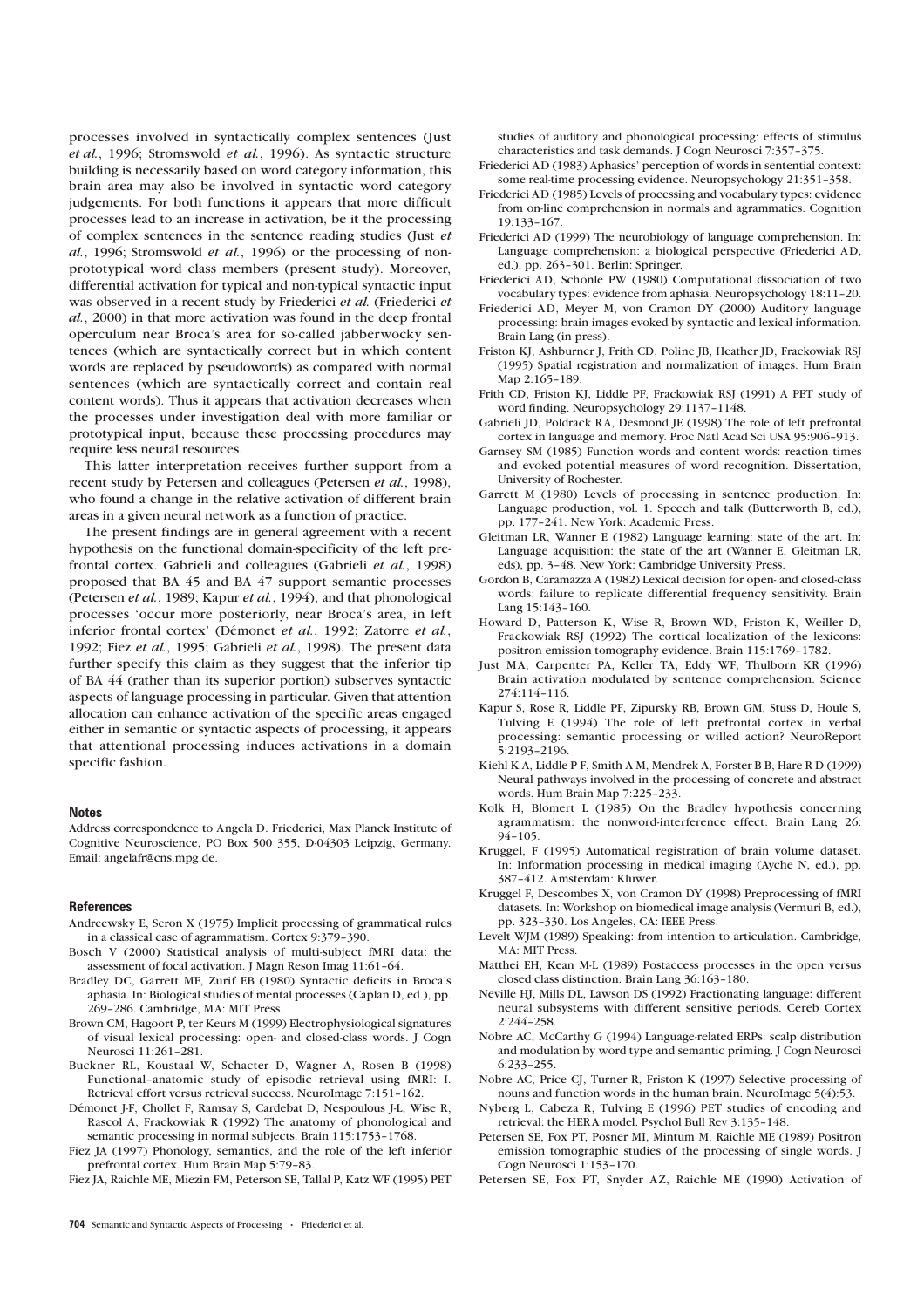processes involved in syntactically complex sentences (Just *et al.*, 1996; Stromswold *et al.*, 1996). As syntactic structure building is necessarily based on word category information, this brain area may also be involved in syntactic word category judgements. For both functions it appears that more difficult processes lead to an increase in activation, be it the processing of complex sentences in the sentence reading studies (Just *et al.*, 1996; Stromswold *et al.*, 1996) or the processing of nonprototypical word class members (present study). Moreover, differential activation for typical and non-typical syntactic input was observed in a recent study by Friederici *et al.* (Friederici *et al.*, 2000) in that more activation was found in the deep frontal operculum near Broca's area for so-called jabberwocky sentences (which are syntactically correct but in which content words are replaced by pseudowords) as compared with normal sentences (which are syntactically correct and contain real content words). Thus it appears that activation decreases when the processes under investigation deal with more familiar or prototypical input, because these processing procedures may require less neural resources.

This latter interpretation receives further support from a recent study by Petersen and colleagues (Petersen *et al.*, 1998), who found a change in the relative activation of different brain areas in a given neural network as a function of practice.

The present findings are in general agreement with a recent hypothesis on the functional domain-specificity of the left prefrontal cortex. Gabrieli and colleagues (Gabrieli *et al.*, 1998) proposed that BA 45 and BA 47 support semantic processes (Petersen *et al.*, 1989; Kapur *et al.*, 1994), and that phonological processes 'occur more posteriorly, near Broca's area, in left inferior frontal cortex' (Démonet *et al.*, 1992; Zatorre *et al.*, 1992; Fiez *et al.*, 1995; Gabrieli *et al.*, 1998). The present data further specify this claim as they suggest that the inferior tip of BA 44 (rather than its superior portion) subserves syntactic aspects of language processing in particular. Given that attention allocation can enhance activation of the specific areas engaged either in semantic or syntactic aspects of processing, it appears that attentional processing induces activations in a domain specific fashion.

### **Notes**

Address correspondence to Angela D. Friederici, Max Planck Institute of Cognitive Neuroscience, PO Box 500 355, D-04303 Leipzig, Germany. Email: angelafr@cns.mpg.de.

### **References**

- Andreewsky E, Seron X (1975) Implicit processing of grammatical rules in a classical case of agrammatism. Cortex 9:379–390.
- Bosch V (2000) Statistical analysis of multi-subject fMRI data: the assessment of focal activation. J Magn Reson Imag 11:61–64.
- Bradley DC, Garrett MF, Zurif EB (1980) Syntactic deficits in Broca's aphasia. In: Biological studies of mental processes (Caplan D, ed.), pp. 269–286. Cambridge, MA: MIT Press.
- Brown CM, Hagoort P, ter Keurs M (1999) Electrophysiological signatures of visual lexical processing: open- and closed-class words. J Cogn Neurosci 11:261–281.
- Buckner RL, Koustaal W, Schacter D, Wagner A, Rosen B (1998) Functional–anatomic study of episodic retrieval using fMRI: I. Retrieval effort versus retrieval success. NeuroImage 7:151–162.
- Démonet J-F, Chollet F, Ramsay S, Cardebat D, Nespoulous J-L, Wise R, Rascol A, Frackowiak R (1992) The anatomy of phonological and semantic processing in normal subjects. Brain 115:1753–1768.
- Fiez JA (1997) Phonology, semantics, and the role of the left inferior prefrontal cortex. Hum Brain Map 5:79–83.

Fiez JA, Raichle ME, Miezin FM, Peterson SE, Tallal P, Katz WF (1995) PET

studies of auditory and phonological processing: effects of stimulus characteristics and task demands. J Cogn Neurosci 7:357–375.

- Friederici AD (1983) Aphasics' perception of words in sentential context: some real-time processing evidence. Neuropsychology 21:351–358.
- Friederici AD (1985) Levels of processing and vocabulary types: evidence from on-line comprehension in normals and agrammatics. Cognition 19:133–167.
- Friederici AD (1999) The neurobiology of language comprehension. In: Language comprehension: a biological perspective (Friederici AD, ed.), pp. 263–301. Berlin: Springer.
- Friederici AD, Schönle PW (1980) Computational dissociation of two vocabulary types: evidence from aphasia. Neuropsychology 18:11–20.
- Friederici AD, Meyer M, von Cramon DY (2000) Auditory language processing: brain images evoked by syntactic and lexical information. Brain Lang (in press).
- Friston KJ, Ashburner J, Frith CD, Poline JB, Heather JD, Frackowiak RSJ (1995) Spatial registration and normalization of images. Hum Brain Map 2:165–189.
- Frith CD, Friston KJ, Liddle PF, Frackowiak RSJ (1991) A PET study of word finding. Neuropsychology 29:1137–1148.
- Gabrieli JD, Poldrack RA, Desmond JE (1998) The role of left prefrontal cortex in language and memory. Proc Natl Acad Sci USA 95:906–913.
- Garnsey SM (1985) Function words and content words: reaction times and evoked potential measures of word recognition. Dissertation, University of Rochester.
- Garrett M (1980) Levels of processing in sentence production. In: Language production, vol. 1. Speech and talk (Butterworth B, ed.), pp. 177–241. New York: Academic Press.
- Gleitman LR, Wanner E (1982) Language learning: state of the art. In: Language acquisition: the state of the art (Wanner E, Gleitman LR, eds), pp. 3–48. New York: Cambridge University Press.
- Gordon B, Caramazza A (1982) Lexical decision for open- and closed-class words: failure to replicate differential frequency sensitivity. Brain Lang 15:143–160.
- Howard D, Patterson K, Wise R, Brown WD, Friston K, Weiller D, Frackowiak RSJ (1992) The cortical localization of the lexicons: positron emission tomography evidence. Brain 115:1769–1782.
- Just MA, Carpenter PA, Keller TA, Eddy WF, Thulborn KR (1996) Brain activation modulated by sentence comprehension. Science 274:114–116.
- Kapur S, Rose R, Liddle PF, Zipursky RB, Brown GM, Stuss D, Houle S, Tulving E (1994) The role of left prefrontal cortex in verbal processing: semantic processing or willed action? NeuroReport 5:2193–2196.
- Kiehl K A, Liddle P F, Smith A M, Mendrek A, Forster B B, Hare R D (1999) Neural pathways involved in the processing of concrete and abstract words. Hum Brain Map 7:225–233.
- Kolk H, Blomert L (1985) On the Bradley hypothesis concerning agrammatism: the nonword-interference effect. Brain Lang 26: 94–105.
- Kruggel, F (1995) Automatical registration of brain volume dataset. In: Information processing in medical imaging (Ayche N, ed.), pp. 387–412. Amsterdam: Kluwer.
- Kruggel F, Descombes X, von Cramon DY (1998) Preprocessing of fMRI datasets. In: Workshop on biomedical image analysis (Vermuri B, ed.), pp. 323–330. Los Angeles, CA: IEEE Press.
- Levelt WJM (1989) Speaking: from intention to articulation. Cambridge, MA: MIT Press.
- Matthei EH, Kean M-L (1989) Postaccess processes in the open versus closed class distinction. Brain Lang 36:163–180.
- Neville HJ, Mills DL, Lawson DS (1992) Fractionating language: different neural subsystems with different sensitive periods. Cereb Cortex 2:244–258.
- Nobre AC, McCarthy G (1994) Language-related ERPs: scalp distribution and modulation by word type and semantic priming. J Cogn Neurosci 6:233–255.
- Nobre AC, Price CJ, Turner R, Friston K (1997) Selective processing of nouns and function words in the human brain. NeuroImage 5(4):53.
- Nyberg L, Cabeza R, Tulving E (1996) PET studies of encoding and retrieval: the HERA model. Psychol Bull Rev 3:135–148.
- Petersen SE, Fox PT, Posner MI, Mintum M, Raichle ME (1989) Positron emission tomographic studies of the processing of single words. J Cogn Neurosci 1:153–170.
- Petersen SE, Fox PT, Snyder AZ, Raichle ME (1990) Activation of